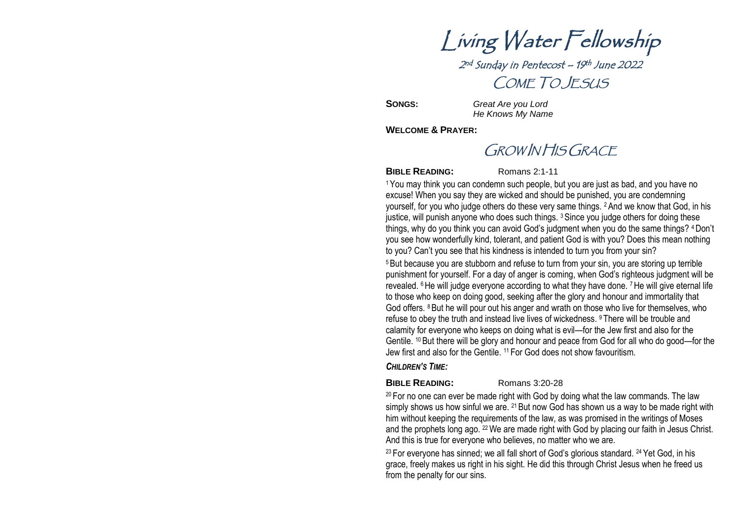Living Water Fellowship 2<sup>nd</sup> Sunday in Pentecost – 19<sup>th</sup> June 2022

COME TO JESUS

**SONGS:** *Great Are you Lord He Knows My Name*

**WELCOME & PRAYER:**

# GROW IN HIS GRACE

**BIBLE READING:** Romans 2:1-11

<sup>1</sup>You may think you can condemn such people, but you are just as bad, and you have no excuse! When you say they are wicked and should be punished, you are condemning yourself, for you who judge others do these very same things. 2And we know that God, in his justice, will punish anyone who does such things. <sup>3</sup> Since you judge others for doing these things, why do you think you can avoid God's judgment when you do the same things? 4Don't you see how wonderfully kind, tolerant, and patient God is with you? Does this mean nothing to you? Can't you see that his kindness is intended to turn you from your sin? <sup>5</sup>But because you are stubborn and refuse to turn from your sin, you are storing up terrible punishment for yourself. For a day of anger is coming, when God's righteous judgment will be

revealed. <sup>6</sup> He will judge everyone according to what they have done. <sup>7</sup> He will give eternal life to those who keep on doing good, seeking after the glory and honour and immortality that God offers. <sup>8</sup>But he will pour out his anger and wrath on those who live for themselves, who refuse to obey the truth and instead live lives of wickedness. <sup>9</sup> There will be trouble and calamity for everyone who keeps on doing what is evil—for the Jew first and also for the Gentile. <sup>10</sup> But there will be glory and honour and peace from God for all who do good—for the Jew first and also for the Gentile. <sup>11</sup> For God does not show favouritism.

## *CHILDREN'S TIME:*

## **BIBLE READING:** Romans 3:20-28

 $20$  For no one can ever be made right with God by doing what the law commands. The law simply shows us how sinful we are.  $21$  But now God has shown us a way to be made right with him without keeping the requirements of the law, as was promised in the writings of Moses and the prophets long ago. <sup>22</sup> We are made right with God by placing our faith in Jesus Christ. And this is true for everyone who believes, no matter who we are.

 $23$  For everyone has sinned; we all fall short of God's glorious standard,  $24$  Yet God, in his grace, freely makes us right in his sight. He did this through Christ Jesus when he freed us from the penalty for our sins.